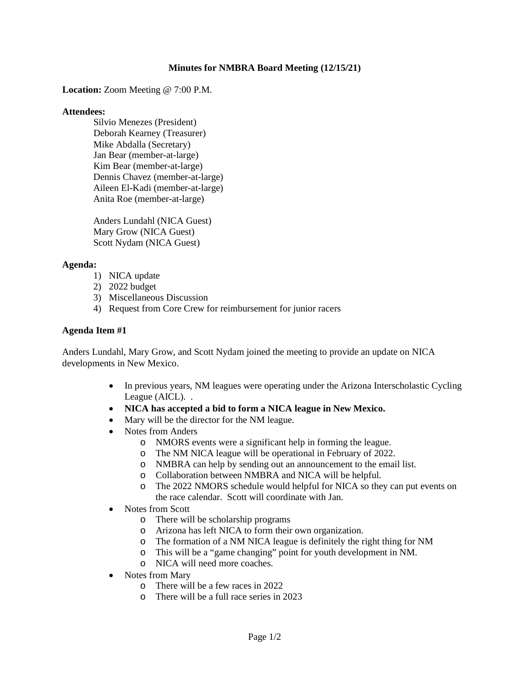### **Minutes for NMBRA Board Meeting (12/15/21)**

**Location:** Zoom Meeting @ 7:00 P.M.

### **Attendees:**

Silvio Menezes (President) Deborah Kearney (Treasurer) Mike Abdalla (Secretary) Jan Bear (member-at-large) Kim Bear (member-at-large) Dennis Chavez (member-at-large) Aileen El-Kadi (member-at-large) Anita Roe (member-at-large)

Anders Lundahl (NICA Guest) Mary Grow (NICA Guest) Scott Nydam (NICA Guest)

### **Agenda:**

- 1) NICA update
- 2) 2022 budget
- 3) Miscellaneous Discussion
- 4) Request from Core Crew for reimbursement for junior racers

### **Agenda Item #1**

Anders Lundahl, Mary Grow, and Scott Nydam joined the meeting to provide an update on NICA developments in New Mexico.

- In previous years, NM leagues were operating under the Arizona Interscholastic Cycling League (AICL). .
- **NICA has accepted a bid to form a NICA league in New Mexico.**
- Mary will be the director for the NM league.
- Notes from Anders
	- o NMORS events were a significant help in forming the league.
	- o The NM NICA league will be operational in February of 2022.
	- o NMBRA can help by sending out an announcement to the email list.
	- o Collaboration between NMBRA and NICA will be helpful.
	- o The 2022 NMORS schedule would helpful for NICA so they can put events on the race calendar. Scott will coordinate with Jan.
- Notes from Scott
	- o There will be scholarship programs
	- o Arizona has left NICA to form their own organization.
	- o The formation of a NM NICA league is definitely the right thing for NM
	- o This will be a "game changing" point for youth development in NM.
	- o NICA will need more coaches.
- Notes from Mary
	- o There will be a few races in 2022
	- o There will be a full race series in 2023